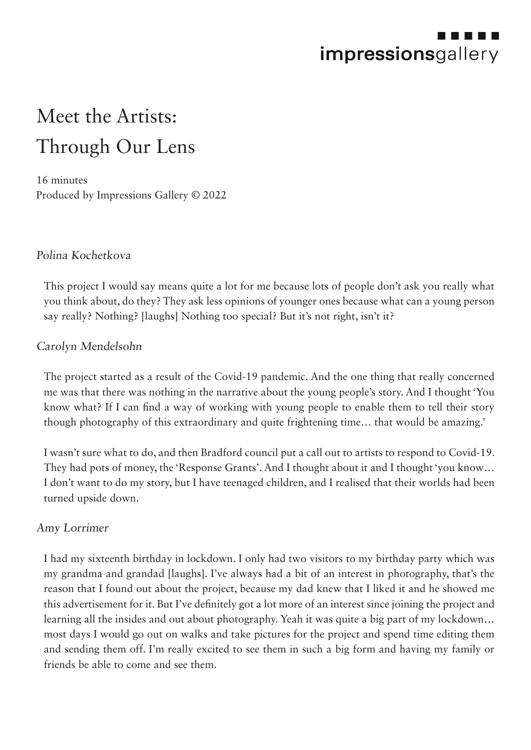

# Meet the Artists: Through Our Lens

16 minutes Produced by Impressions Gallery © 2022

#### Polina Kochetkova

This project I would say means quite a lot for me because lots of people don't ask you really what you think about, do they? They ask less opinions of younger ones because what can a young person say really? Nothing? [laughs] Nothing too special? But it's not right, isn't it?

#### Carolyn Mendelsohn

The project started as a result of the Covid-19 pandemic. And the one thing that really concerned me was that there was nothing in the narrative about the young people's story. And I thought 'You know what? If I can find a way of working with young people to enable them to tell their story though photography of this extraordinary and quite frightening time… that would be amazing.'

I wasn't sure what to do, and then Bradford council put a call out to artists to respond to Covid-19. They had pots of money, the 'Response Grants'. And I thought about it and I thought 'you know… I don't want to do my story, but I have teenaged children, and I realised that their worlds had been turned upside down.

#### Amy Lorrimer

I had my sixteenth birthday in lockdown. I only had two visitors to my birthday party which was my grandma and grandad [laughs]. I've always had a bit of an interest in photography, that's the reason that I found out about the project, because my dad knew that I liked it and he showed me this advertisement for it. But I've definitely got a lot more of an interest since joining the project and learning all the insides and out about photography. Yeah it was quite a big part of my lockdown… most days I would go out on walks and take pictures for the project and spend time editing them and sending them off. I'm really excited to see them in such a big form and having my family or friends be able to come and see them.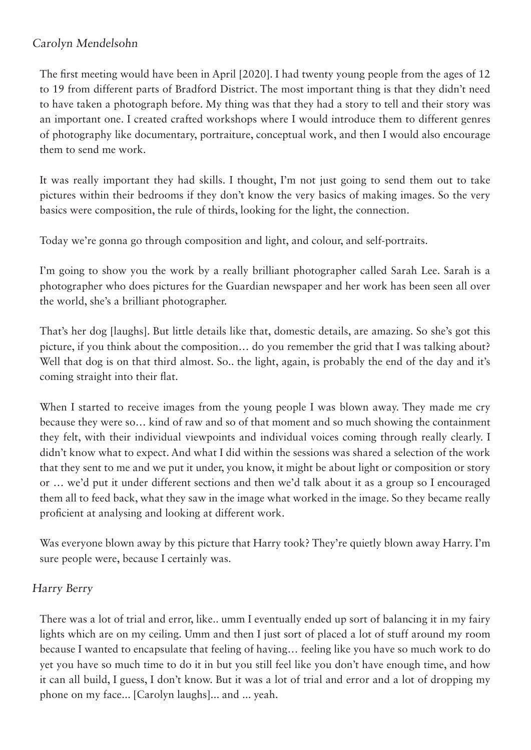## Carolyn Mendelsohn

The first meeting would have been in April [2020]. I had twenty young people from the ages of 12 to 19 from different parts of Bradford District. The most important thing is that they didn't need to have taken a photograph before. My thing was that they had a story to tell and their story was an important one. I created crafted workshops where I would introduce them to different genres of photography like documentary, portraiture, conceptual work, and then I would also encourage them to send me work.

It was really important they had skills. I thought, I'm not just going to send them out to take pictures within their bedrooms if they don't know the very basics of making images. So the very basics were composition, the rule of thirds, looking for the light, the connection.

Today we're gonna go through composition and light, and colour, and self-portraits.

I'm going to show you the work by a really brilliant photographer called Sarah Lee. Sarah is a photographer who does pictures for the Guardian newspaper and her work has been seen all over the world, she's a brilliant photographer.

That's her dog [laughs]. But little details like that, domestic details, are amazing. So she's got this picture, if you think about the composition… do you remember the grid that I was talking about? Well that dog is on that third almost. So.. the light, again, is probably the end of the day and it's coming straight into their flat.

When I started to receive images from the young people I was blown away. They made me cry because they were so… kind of raw and so of that moment and so much showing the containment they felt, with their individual viewpoints and individual voices coming through really clearly. I didn't know what to expect. And what I did within the sessions was shared a selection of the work that they sent to me and we put it under, you know, it might be about light or composition or story or … we'd put it under different sections and then we'd talk about it as a group so I encouraged them all to feed back, what they saw in the image what worked in the image. So they became really proficient at analysing and looking at different work.

Was everyone blown away by this picture that Harry took? They're quietly blown away Harry. I'm sure people were, because I certainly was.

## Harry Berry

There was a lot of trial and error, like.. umm I eventually ended up sort of balancing it in my fairy lights which are on my ceiling. Umm and then I just sort of placed a lot of stuff around my room because I wanted to encapsulate that feeling of having… feeling like you have so much work to do yet you have so much time to do it in but you still feel like you don't have enough time, and how it can all build, I guess, I don't know. But it was a lot of trial and error and a lot of dropping my phone on my face... [Carolyn laughs]... and ... yeah.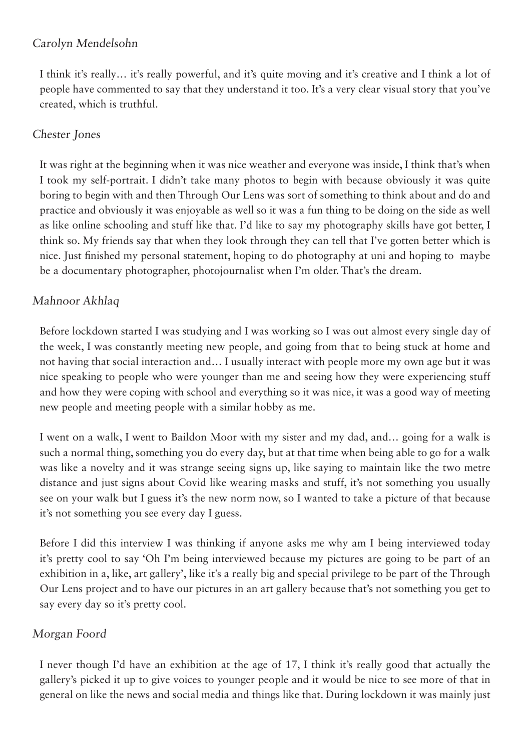## Carolyn Mendelsohn

I think it's really… it's really powerful, and it's quite moving and it's creative and I think a lot of people have commented to say that they understand it too. It's a very clear visual story that you've created, which is truthful.

## Chester Jones

It was right at the beginning when it was nice weather and everyone was inside, I think that's when I took my self-portrait. I didn't take many photos to begin with because obviously it was quite boring to begin with and then Through Our Lens was sort of something to think about and do and practice and obviously it was enjoyable as well so it was a fun thing to be doing on the side as well as like online schooling and stuff like that. I'd like to say my photography skills have got better, I think so. My friends say that when they look through they can tell that I've gotten better which is nice. Just finished my personal statement, hoping to do photography at uni and hoping to maybe be a documentary photographer, photojournalist when I'm older. That's the dream.

## Mahnoor Akhlaq

Before lockdown started I was studying and I was working so I was out almost every single day of the week, I was constantly meeting new people, and going from that to being stuck at home and not having that social interaction and… I usually interact with people more my own age but it was nice speaking to people who were younger than me and seeing how they were experiencing stuff and how they were coping with school and everything so it was nice, it was a good way of meeting new people and meeting people with a similar hobby as me.

I went on a walk, I went to Baildon Moor with my sister and my dad, and… going for a walk is such a normal thing, something you do every day, but at that time when being able to go for a walk was like a novelty and it was strange seeing signs up, like saying to maintain like the two metre distance and just signs about Covid like wearing masks and stuff, it's not something you usually see on your walk but I guess it's the new norm now, so I wanted to take a picture of that because it's not something you see every day I guess.

Before I did this interview I was thinking if anyone asks me why am I being interviewed today it's pretty cool to say 'Oh I'm being interviewed because my pictures are going to be part of an exhibition in a, like, art gallery', like it's a really big and special privilege to be part of the Through Our Lens project and to have our pictures in an art gallery because that's not something you get to say every day so it's pretty cool.

## Morgan Foord

I never though I'd have an exhibition at the age of 17, I think it's really good that actually the gallery's picked it up to give voices to younger people and it would be nice to see more of that in general on like the news and social media and things like that. During lockdown it was mainly just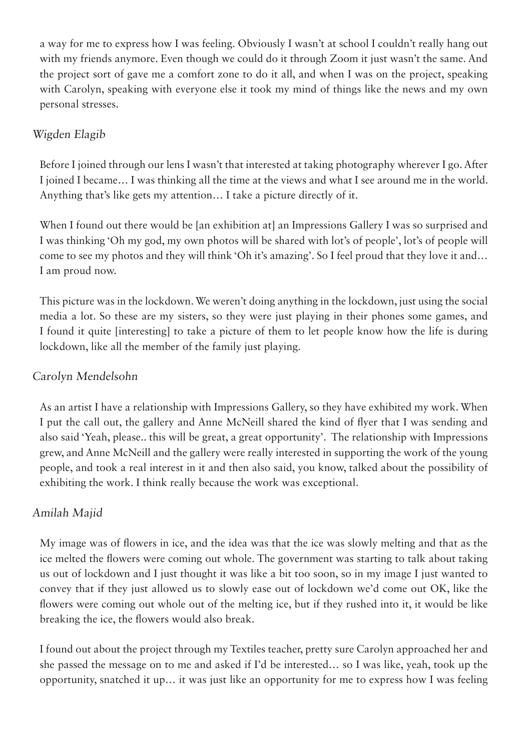a way for me to express how I was feeling. Obviously I wasn't at school I couldn't really hang out with my friends anymore. Even though we could do it through Zoom it just wasn't the same. And the project sort of gave me a comfort zone to do it all, and when I was on the project, speaking with Carolyn, speaking with everyone else it took my mind of things like the news and my own personal stresses.

#### Wigden Elagib

Before I joined through our lens I wasn't that interested at taking photography wherever I go. After I joined I became… I was thinking all the time at the views and what I see around me in the world. Anything that's like gets my attention… I take a picture directly of it.

When I found out there would be [an exhibition at] an Impressions Gallery I was so surprised and I was thinking 'Oh my god, my own photos will be shared with lot's of people', lot's of people will come to see my photos and they will think 'Oh it's amazing'. So I feel proud that they love it and… I am proud now.

This picture was in the lockdown. We weren't doing anything in the lockdown, just using the social media a lot. So these are my sisters, so they were just playing in their phones some games, and I found it quite [interesting] to take a picture of them to let people know how the life is during lockdown, like all the member of the family just playing.

## Carolyn Mendelsohn

As an artist I have a relationship with Impressions Gallery, so they have exhibited my work. When I put the call out, the gallery and Anne McNeill shared the kind of flyer that I was sending and also said 'Yeah, please.. this will be great, a great opportunity'. The relationship with Impressions grew, and Anne McNeill and the gallery were really interested in supporting the work of the young people, and took a real interest in it and then also said, you know, talked about the possibility of exhibiting the work. I think really because the work was exceptional.

## Amilah Majid

My image was of flowers in ice, and the idea was that the ice was slowly melting and that as the ice melted the flowers were coming out whole. The government was starting to talk about taking us out of lockdown and I just thought it was like a bit too soon, so in my image I just wanted to convey that if they just allowed us to slowly ease out of lockdown we'd come out OK, like the flowers were coming out whole out of the melting ice, but if they rushed into it, it would be like breaking the ice, the flowers would also break.

I found out about the project through my Textiles teacher, pretty sure Carolyn approached her and she passed the message on to me and asked if I'd be interested… so I was like, yeah, took up the opportunity, snatched it up… it was just like an opportunity for me to express how I was feeling